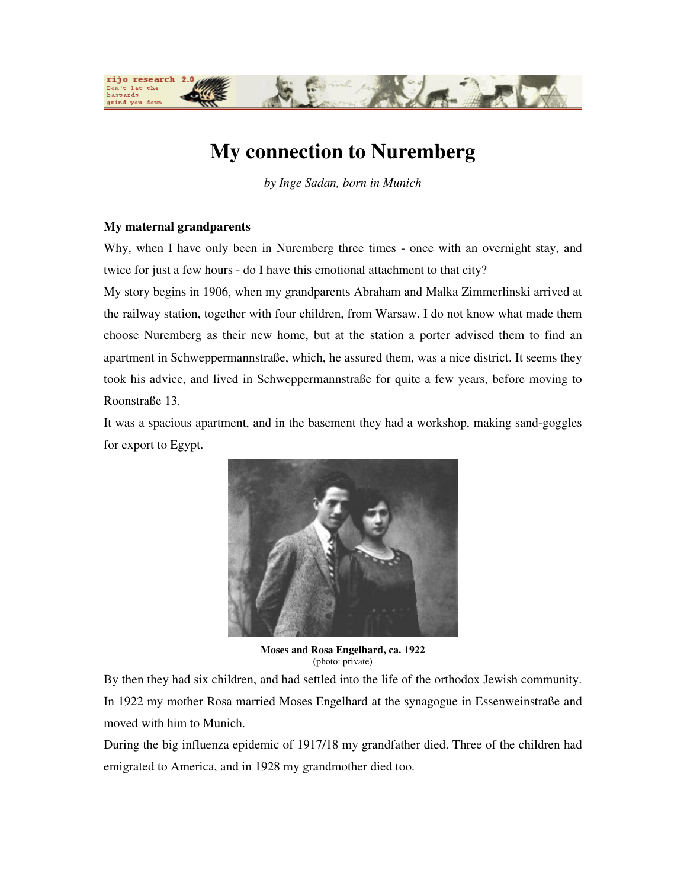

# **My connection to Nuremberg**

*by Inge Sadan, born in Munich* 

# **My maternal grandparents**

Why, when I have only been in Nuremberg three times - once with an overnight stay, and twice for just a few hours - do I have this emotional attachment to that city?

My story begins in 1906, when my grandparents Abraham and Malka Zimmerlinski arrived at the railway station, together with four children, from Warsaw. I do not know what made them choose Nuremberg as their new home, but at the station a porter advised them to find an apartment in Schweppermannstraße, which, he assured them, was a nice district. It seems they took his advice, and lived in Schweppermannstraße for quite a few years, before moving to Roonstraße 13.

It was a spacious apartment, and in the basement they had a workshop, making sand-goggles for export to Egypt.



**Moses and Rosa Engelhard, ca. 1922**  (photo: private)

By then they had six children, and had settled into the life of the orthodox Jewish community. In 1922 my mother Rosa married Moses Engelhard at the synagogue in Essenweinstraße and moved with him to Munich.

During the big influenza epidemic of 1917/18 my grandfather died. Three of the children had emigrated to America, and in 1928 my grandmother died too.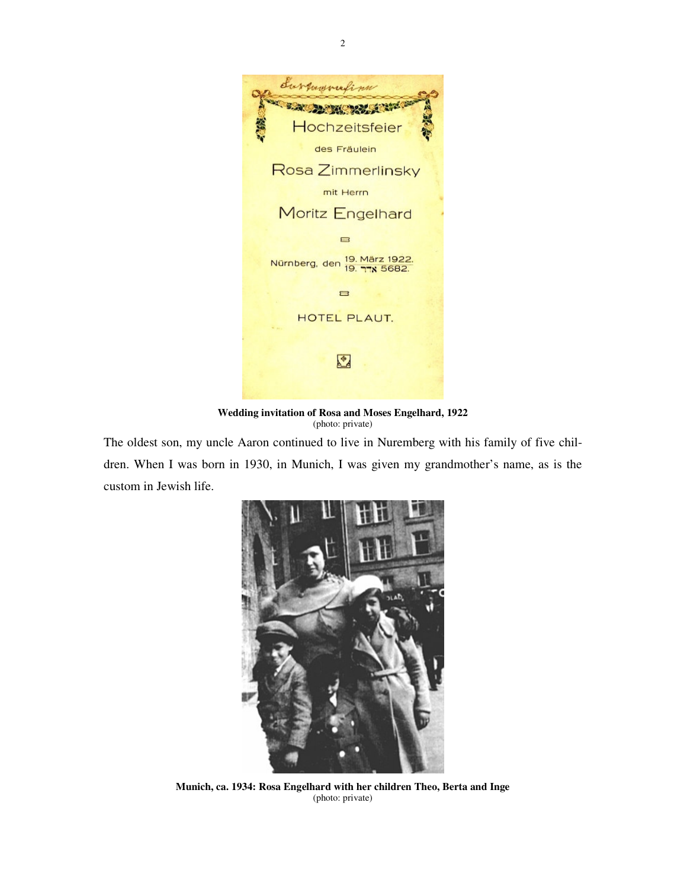

**Wedding invitation of Rosa and Moses Engelhard, 1922**  (photo: private)

The oldest son, my uncle Aaron continued to live in Nuremberg with his family of five children. When I was born in 1930, in Munich, I was given my grandmother's name, as is the custom in Jewish life.



**Munich, ca. 1934: Rosa Engelhard with her children Theo, Berta and Inge**  (photo: private)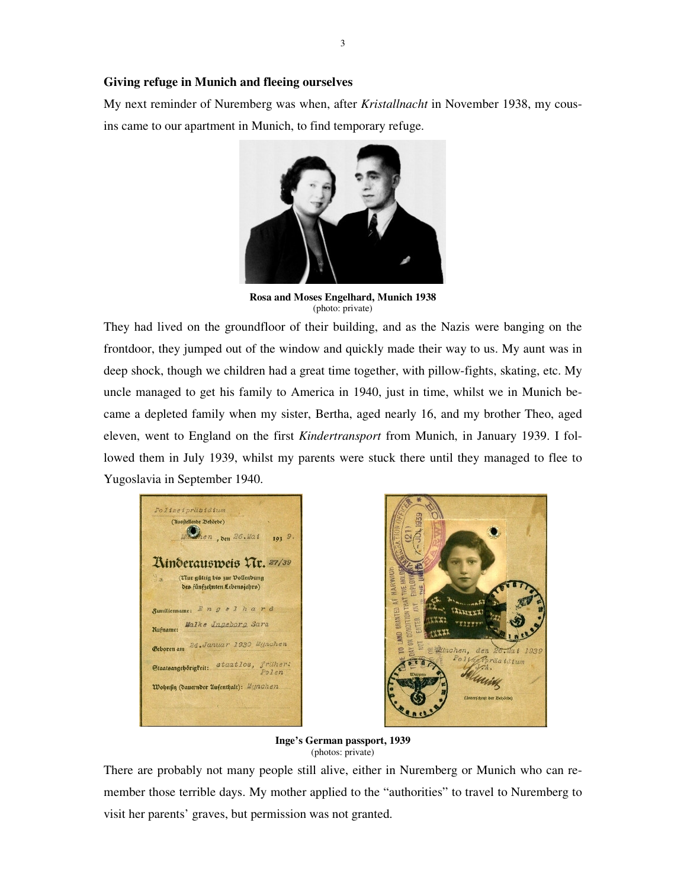### **Giving refuge in Munich and fleeing ourselves**

My next reminder of Nuremberg was when, after *Kristallnacht* in November 1938, my cousins came to our apartment in Munich, to find temporary refuge.



**Rosa and Moses Engelhard, Munich 1938**  (photo: private)

They had lived on the groundfloor of their building, and as the Nazis were banging on the frontdoor, they jumped out of the window and quickly made their way to us. My aunt was in deep shock, though we children had a great time together, with pillow-fights, skating, etc. My uncle managed to get his family to America in 1940, just in time, whilst we in Munich became a depleted family when my sister, Bertha, aged nearly 16, and my brother Theo, aged eleven, went to England on the first *Kindertransport* from Munich, in January 1939. I followed them in July 1939, whilst my parents were stuck there until they managed to flee to Yugoslavia in September 1940.

Polizeipräsidium (Musitellende 23ehörde) Shen, den 193 9.  $26.4a1$ Ainderausweis XIr. 27/39 (Tur gültig bis zur Vollendung des fünfzehnten Lebensjahrs) Samilienname: Engelhard Malke Ingeborg Sara <u> Rufname:</u> Geboren am 24. Januar 1930 Mynchen Staatsangebörigkeit: staatlos, früher: Wohnsig (dauernder Aufenthalt): Marachen.



**Inge's German passport, 1939**  (photos: private)

There are probably not many people still alive, either in Nuremberg or Munich who can remember those terrible days. My mother applied to the "authorities" to travel to Nuremberg to visit her parents' graves, but permission was not granted.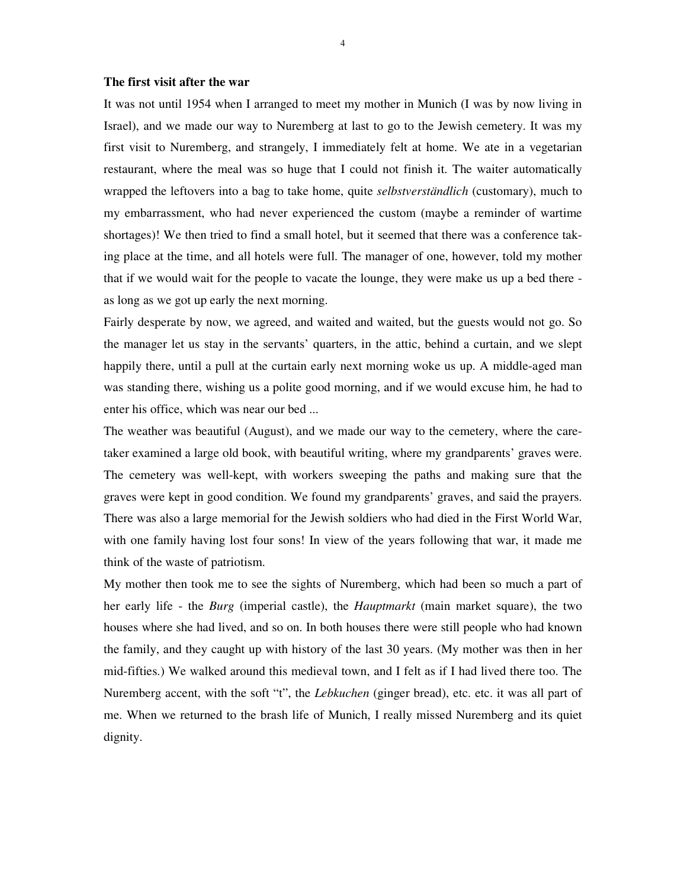#### **The first visit after the war**

It was not until 1954 when I arranged to meet my mother in Munich (I was by now living in Israel), and we made our way to Nuremberg at last to go to the Jewish cemetery. It was my first visit to Nuremberg, and strangely, I immediately felt at home. We ate in a vegetarian restaurant, where the meal was so huge that I could not finish it. The waiter automatically wrapped the leftovers into a bag to take home, quite *selbstverständlich* (customary), much to my embarrassment, who had never experienced the custom (maybe a reminder of wartime shortages)! We then tried to find a small hotel, but it seemed that there was a conference taking place at the time, and all hotels were full. The manager of one, however, told my mother that if we would wait for the people to vacate the lounge, they were make us up a bed there as long as we got up early the next morning.

Fairly desperate by now, we agreed, and waited and waited, but the guests would not go. So the manager let us stay in the servants' quarters, in the attic, behind a curtain, and we slept happily there, until a pull at the curtain early next morning woke us up. A middle-aged man was standing there, wishing us a polite good morning, and if we would excuse him, he had to enter his office, which was near our bed ...

The weather was beautiful (August), and we made our way to the cemetery, where the caretaker examined a large old book, with beautiful writing, where my grandparents' graves were. The cemetery was well-kept, with workers sweeping the paths and making sure that the graves were kept in good condition. We found my grandparents' graves, and said the prayers. There was also a large memorial for the Jewish soldiers who had died in the First World War, with one family having lost four sons! In view of the years following that war, it made me think of the waste of patriotism.

My mother then took me to see the sights of Nuremberg, which had been so much a part of her early life - the *Burg* (imperial castle), the *Hauptmarkt* (main market square), the two houses where she had lived, and so on. In both houses there were still people who had known the family, and they caught up with history of the last 30 years. (My mother was then in her mid-fifties.) We walked around this medieval town, and I felt as if I had lived there too. The Nuremberg accent, with the soft "t", the *Lebkuchen* (ginger bread), etc. etc. it was all part of me. When we returned to the brash life of Munich, I really missed Nuremberg and its quiet dignity.